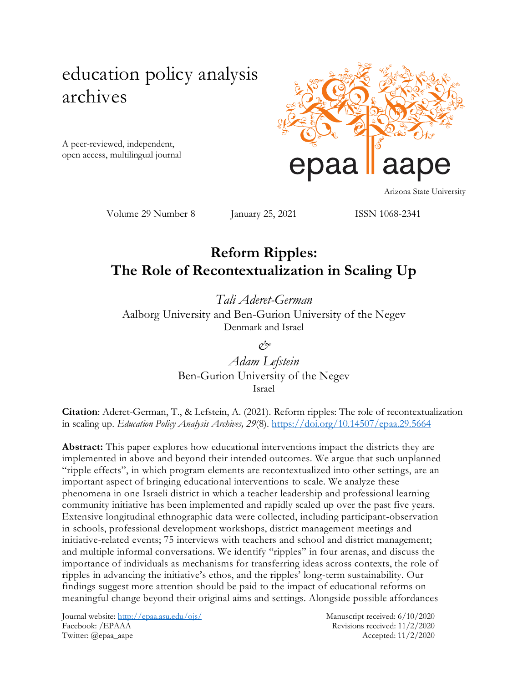# education policy analysis archives

A peer-reviewed, independent, open access, multilingual journal



Arizona State University

Volume 29 Number 8 January 25, 2021 ISSN 1068-2341

# **Reform Ripples: The Role of Recontextualization in Scaling Up**

*Tali Aderet-German* Aalborg University and Ben-Gurion University of the Negev Denmark and Israel

*&*

*Adam Lefstein* Ben-Gurion University of the Negev Israel

**Citation**: Aderet-German, T., & Lefstein, A. (2021). Reform ripples: The role of recontextualization in scaling up. *Education Policy Analysis Archives, 29*(8).<https://doi.org/10.14507/epaa.29.5664>

**Abstract:** This paper explores how educational interventions impact the districts they are implemented in above and beyond their intended outcomes. We argue that such unplanned "ripple effects", in which program elements are recontextualized into other settings, are an important aspect of bringing educational interventions to scale. We analyze these phenomena in one Israeli district in which a teacher leadership and professional learning community initiative has been implemented and rapidly scaled up over the past five years. Extensive longitudinal ethnographic data were collected, including participant-observation in schools, professional development workshops, district management meetings and initiative-related events; 75 interviews with teachers and school and district management; and multiple informal conversations. We identify "ripples" in four arenas, and discuss the importance of individuals as mechanisms for transferring ideas across contexts, the role of ripples in advancing the initiative's ethos, and the ripples' long-term sustainability. Our findings suggest more attention should be paid to the impact of educational reforms on meaningful change beyond their original aims and settings. Alongside possible affordances

Journal website:<http://epaa.asu.edu/ojs/> Manuscript received: 6/10/2020 Facebook: /EPAAA Revisions received: 11/2/2020 Twitter: @epaa\_aape Accepted: 11/2/2020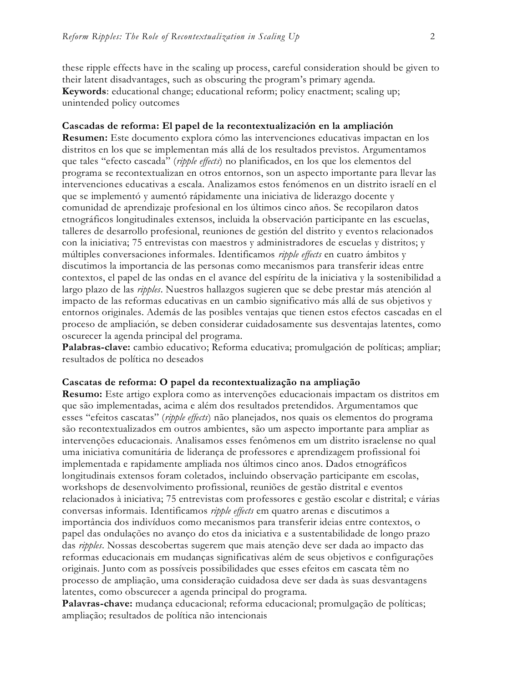these ripple effects have in the scaling up process, careful consideration should be given to their latent disadvantages, such as obscuring the program's primary agenda. **Keywords**: educational change; educational reform; policy enactment; scaling up; unintended policy outcomes

#### **Cascadas de reforma: El papel de la recontextualización en la ampliación**

**Resumen:** Este documento explora cómo las intervenciones educativas impactan en los distritos en los que se implementan más allá de los resultados previstos. Argumentamos que tales "efecto cascada" (*ripple effects*) no planificados, en los que los elementos del programa se recontextualizan en otros entornos, son un aspecto importante para llevar las intervenciones educativas a escala. Analizamos estos fenómenos en un distrito israelí en el que se implementó y aumentó rápidamente una iniciativa de liderazgo docente y comunidad de aprendizaje profesional en los últimos cinco años. Se recopilaron datos etnográficos longitudinales extensos, incluida la observación participante en las escuelas, talleres de desarrollo profesional, reuniones de gestión del distrito y eventos relacionados con la iniciativa; 75 entrevistas con maestros y administradores de escuelas y distritos; y múltiples conversaciones informales. Identificamos *ripple effects* en cuatro ámbitos y discutimos la importancia de las personas como mecanismos para transferir ideas entre contextos, el papel de las ondas en el avance del espíritu de la iniciativa y la sostenibilidad a largo plazo de las *ripples*. Nuestros hallazgos sugieren que se debe prestar más atención al impacto de las reformas educativas en un cambio significativo más allá de sus objetivos y entornos originales. Además de las posibles ventajas que tienen estos efectos cascadas en el proceso de ampliación, se deben considerar cuidadosamente sus desventajas latentes, como oscurecer la agenda principal del programa.

**Palabras-clave:** cambio educativo; Reforma educativa; promulgación de políticas; ampliar; resultados de política no deseados

#### **Cascatas de reforma: O papel da recontextualização na ampliação**

**Resumo:** Este artigo explora como as intervenções educacionais impactam os distritos em que são implementadas, acima e além dos resultados pretendidos. Argumentamos que esses "efeitos cascatas" (*ripple effects*) não planejados, nos quais os elementos do programa são recontextualizados em outros ambientes, são um aspecto importante para ampliar as intervenções educacionais. Analisamos esses fenômenos em um distrito israelense no qual uma iniciativa comunitária de liderança de professores e aprendizagem profissional foi implementada e rapidamente ampliada nos últimos cinco anos. Dados etnográficos longitudinais extensos foram coletados, incluindo observação participante em escolas, workshops de desenvolvimento profissional, reuniões de gestão distrital e eventos relacionados à iniciativa; 75 entrevistas com professores e gestão escolar e distrital; e várias conversas informais. Identificamos *ripple effects* em quatro arenas e discutimos a importância dos indivíduos como mecanismos para transferir ideias entre contextos, o papel das ondulações no avanço do etos da iniciativa e a sustentabilidade de longo prazo das *ripples*. Nossas descobertas sugerem que mais atenção deve ser dada ao impacto das reformas educacionais em mudanças significativas além de seus objetivos e configurações originais. Junto com as possíveis possibilidades que esses efeitos em cascata têm no processo de ampliação, uma consideração cuidadosa deve ser dada às suas desvantagens latentes, como obscurecer a agenda principal do programa.

**Palavras-chave:** mudança educacional; reforma educacional; promulgação de políticas; ampliação; resultados de política não intencionais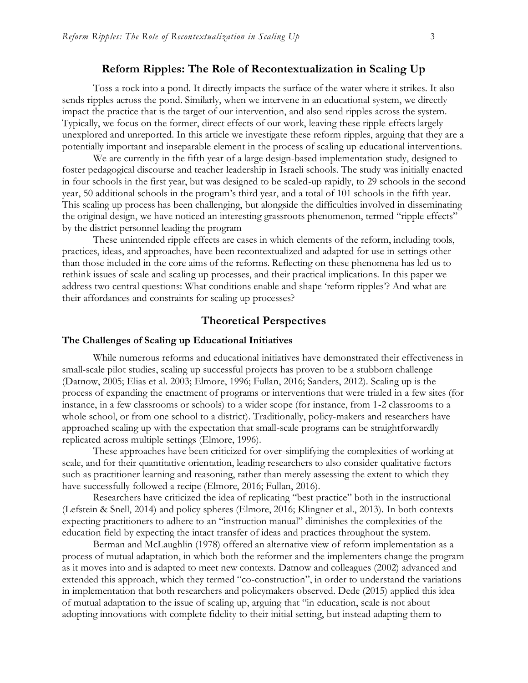#### **Reform Ripples: The Role of Recontextualization in Scaling Up**

Toss a rock into a pond. It directly impacts the surface of the water where it strikes. It also sends ripples across the pond. Similarly, when we intervene in an educational system, we directly impact the practice that is the target of our intervention, and also send ripples across the system. Typically, we focus on the former, direct effects of our work, leaving these ripple effects largely unexplored and unreported. In this article we investigate these reform ripples, arguing that they are a potentially important and inseparable element in the process of scaling up educational interventions.

We are currently in the fifth year of a large design-based implementation study, designed to foster pedagogical discourse and teacher leadership in Israeli schools. The study was initially enacted in four schools in the first year, but was designed to be scaled-up rapidly, to 29 schools in the second year, 50 additional schools in the program's third year, and a total of 101 schools in the fifth year. This scaling up process has been challenging, but alongside the difficulties involved in disseminating the original design, we have noticed an interesting grassroots phenomenon, termed "ripple effects" by the district personnel leading the program

These unintended ripple effects are cases in which elements of the reform, including tools, practices, ideas, and approaches, have been recontextualized and adapted for use in settings other than those included in the core aims of the reforms. Reflecting on these phenomena has led us to rethink issues of scale and scaling up processes, and their practical implications. In this paper we address two central questions: What conditions enable and shape 'reform ripples'? And what are their affordances and constraints for scaling up processes?

#### **Theoretical Perspectives**

#### **The Challenges of Scaling up Educational Initiatives**

While numerous reforms and educational initiatives have demonstrated their effectiveness in small-scale pilot studies, scaling up successful projects has proven to be a stubborn challenge (Datnow, 2005; Elias et al. 2003; Elmore, 1996; Fullan, 2016; Sanders, 2012). Scaling up is the process of expanding the enactment of programs or interventions that were trialed in a few sites (for instance, in a few classrooms or schools) to a wider scope (for instance, from 1-2 classrooms to a whole school, or from one school to a district). Traditionally, policy-makers and researchers have approached scaling up with the expectation that small-scale programs can be straightforwardly replicated across multiple settings (Elmore, 1996).

These approaches have been criticized for over-simplifying the complexities of working at scale, and for their quantitative orientation, leading researchers to also consider qualitative factors such as practitioner learning and reasoning, rather than merely assessing the extent to which they have successfully followed a recipe (Elmore, 2016; Fullan, 2016).

Researchers have criticized the idea of replicating "best practice" both in the instructional (Lefstein & Snell, 2014) and policy spheres (Elmore, 2016; Klingner et al., 2013). In both contexts expecting practitioners to adhere to an "instruction manual" diminishes the complexities of the education field by expecting the intact transfer of ideas and practices throughout the system.

Berman and McLaughlin (1978) offered an alternative view of reform implementation as a process of mutual adaptation, in which both the reformer and the implementers change the program as it moves into and is adapted to meet new contexts. Datnow and colleagues (2002) advanced and extended this approach, which they termed "co-construction", in order to understand the variations in implementation that both researchers and policymakers observed. Dede (2015) applied this idea of mutual adaptation to the issue of scaling up, arguing that "in education, scale is not about adopting innovations with complete fidelity to their initial setting, but instead adapting them to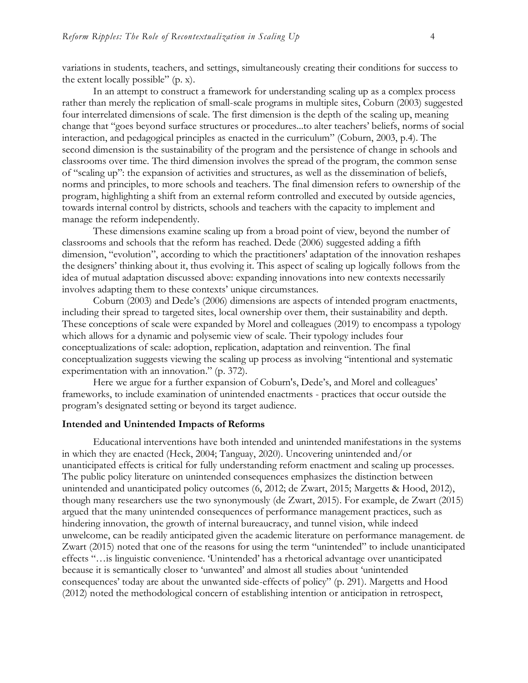variations in students, teachers, and settings, simultaneously creating their conditions for success to the extent locally possible" (p. x).

In an attempt to construct a framework for understanding scaling up as a complex process rather than merely the replication of small-scale programs in multiple sites, Coburn (2003) suggested four interrelated dimensions of scale. The first dimension is the depth of the scaling up, meaning change that "goes beyond surface structures or procedures...to alter teachers' beliefs, norms of social interaction, and pedagogical principles as enacted in the curriculum" (Coburn, 2003, p.4). The second dimension is the sustainability of the program and the persistence of change in schools and classrooms over time. The third dimension involves the spread of the program, the common sense of "scaling up": the expansion of activities and structures, as well as the dissemination of beliefs, norms and principles, to more schools and teachers. The final dimension refers to ownership of the program, highlighting a shift from an external reform controlled and executed by outside agencies, towards internal control by districts, schools and teachers with the capacity to implement and manage the reform independently.

These dimensions examine scaling up from a broad point of view, beyond the number of classrooms and schools that the reform has reached. Dede (2006) suggested adding a fifth dimension, "evolution", according to which the practitioners' adaptation of the innovation reshapes the designers' thinking about it, thus evolving it. This aspect of scaling up logically follows from the idea of mutual adaptation discussed above: expanding innovations into new contexts necessarily involves adapting them to these contexts' unique circumstances.

Coburn (2003) and Dede's (2006) dimensions are aspects of intended program enactments, including their spread to targeted sites, local ownership over them, their sustainability and depth. These conceptions of scale were expanded by Morel and colleagues (2019) to encompass a typology which allows for a dynamic and polysemic view of scale. Their typology includes four conceptualizations of scale: adoption, replication, adaptation and reinvention. The final conceptualization suggests viewing the scaling up process as involving "intentional and systematic experimentation with an innovation." (p. 372).

Here we argue for a further expansion of Coburn's, Dede's, and Morel and colleagues' frameworks, to include examination of unintended enactments - practices that occur outside the program's designated setting or beyond its target audience.

#### **Intended and Unintended Impacts of Reforms**

Educational interventions have both intended and unintended manifestations in the systems in which they are enacted (Heck, 2004; Tanguay, 2020). Uncovering unintended and/or unanticipated effects is critical for fully understanding reform enactment and scaling up processes. The public policy literature on unintended consequences emphasizes the distinction between unintended and unanticipated policy outcomes (6, 2012; de Zwart, 2015; Margetts & Hood, 2012), though many researchers use the two synonymously (de Zwart, 2015). For example, de Zwart (2015) argued that the many unintended consequences of performance management practices, such as hindering innovation, the growth of internal bureaucracy, and tunnel vision, while indeed unwelcome, can be readily anticipated given the academic literature on performance management. de Zwart (2015) noted that one of the reasons for using the term "unintended" to include unanticipated effects "…is linguistic convenience. 'Unintended' has a rhetorical advantage over unanticipated because it is semantically closer to 'unwanted' and almost all studies about 'unintended consequences' today are about the unwanted side-effects of policy" (p. 291). Margetts and Hood (2012) noted the methodological concern of establishing intention or anticipation in retrospect,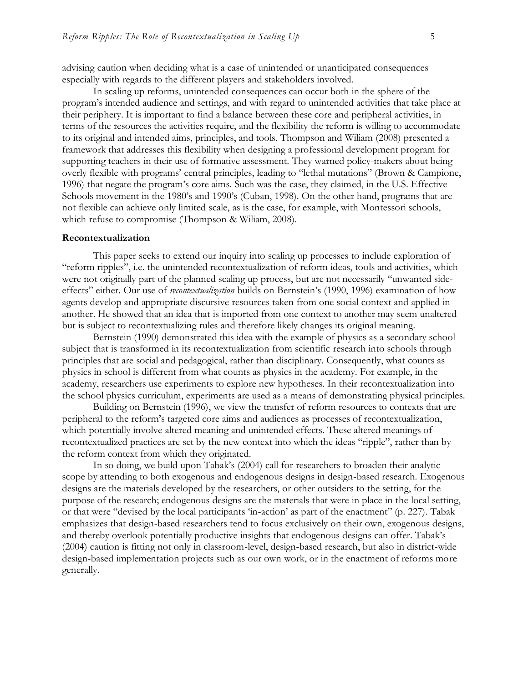advising caution when deciding what is a case of unintended or unanticipated consequences especially with regards to the different players and stakeholders involved.

In scaling up reforms, unintended consequences can occur both in the sphere of the program's intended audience and settings, and with regard to unintended activities that take place at their periphery. It is important to find a balance between these core and peripheral activities, in terms of the resources the activities require, and the flexibility the reform is willing to accommodate to its original and intended aims, principles, and tools. Thompson and Wiliam (2008) presented a framework that addresses this flexibility when designing a professional development program for supporting teachers in their use of formative assessment. They warned policy-makers about being overly flexible with programs' central principles, leading to "lethal mutations" (Brown & Campione, 1996) that negate the program's core aims. Such was the case, they claimed, in the U.S. Effective Schools movement in the 1980's and 1990's (Cuban, 1998). On the other hand, programs that are not flexible can achieve only limited scale, as is the case, for example, with Montessori schools, which refuse to compromise (Thompson & Wiliam, 2008).

#### **Recontextualization**

This paper seeks to extend our inquiry into scaling up processes to include exploration of "reform ripples", i.e. the unintended recontextualization of reform ideas, tools and activities, which were not originally part of the planned scaling up process, but are not necessarily "unwanted sideeffects" either. Our use of *recontextualization* builds on Bernstein's (1990, 1996) examination of how agents develop and appropriate discursive resources taken from one social context and applied in another. He showed that an idea that is imported from one context to another may seem unaltered but is subject to recontextualizing rules and therefore likely changes its original meaning.

Bernstein (1990) demonstrated this idea with the example of physics as a secondary school subject that is transformed in its recontextualization from scientific research into schools through principles that are social and pedagogical, rather than disciplinary. Consequently, what counts as physics in school is different from what counts as physics in the academy. For example, in the academy, researchers use experiments to explore new hypotheses. In their recontextualization into the school physics curriculum, experiments are used as a means of demonstrating physical principles.

Building on Bernstein (1996), we view the transfer of reform resources to contexts that are peripheral to the reform's targeted core aims and audiences as processes of recontextualization, which potentially involve altered meaning and unintended effects. These altered meanings of recontextualized practices are set by the new context into which the ideas "ripple", rather than by the reform context from which they originated.

In so doing, we build upon Tabak's (2004) call for researchers to broaden their analytic scope by attending to both exogenous and endogenous designs in design-based research. Exogenous designs are the materials developed by the researchers, or other outsiders to the setting, for the purpose of the research; endogenous designs are the materials that were in place in the local setting, or that were "devised by the local participants 'in-action' as part of the enactment" (p. 227). Tabak emphasizes that design-based researchers tend to focus exclusively on their own, exogenous designs, and thereby overlook potentially productive insights that endogenous designs can offer. Tabak's (2004) caution is fitting not only in classroom-level, design-based research, but also in district-wide design-based implementation projects such as our own work, or in the enactment of reforms more generally.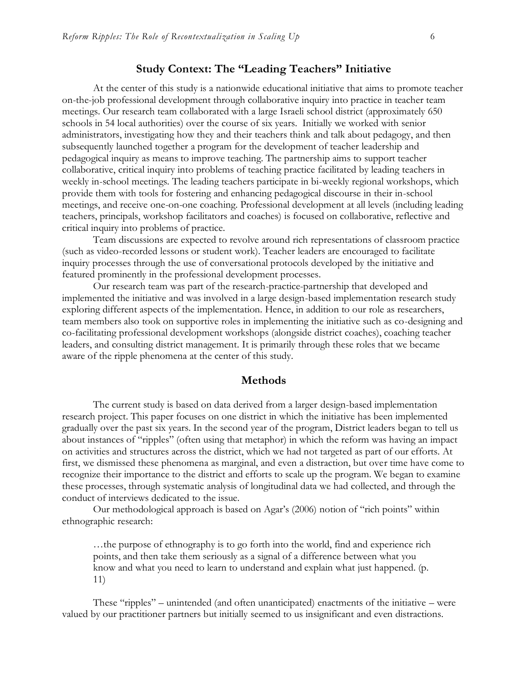### **Study Context: The "Leading Teachers" Initiative**

At the center of this study is a nationwide educational initiative that aims to promote teacher on-the-job professional development through collaborative inquiry into practice in teacher team meetings. Our research team collaborated with a large Israeli school district (approximately 650 schools in 54 local authorities) over the course of six years. Initially we worked with senior administrators, investigating how they and their teachers think and talk about pedagogy, and then subsequently launched together a program for the development of teacher leadership and pedagogical inquiry as means to improve teaching. The partnership aims to support teacher collaborative, critical inquiry into problems of teaching practice facilitated by leading teachers in weekly in-school meetings. The leading teachers participate in bi-weekly regional workshops, which provide them with tools for fostering and enhancing pedagogical discourse in their in-school meetings, and receive one-on-one coaching. Professional development at all levels (including leading teachers, principals, workshop facilitators and coaches) is focused on collaborative, reflective and critical inquiry into problems of practice.

Team discussions are expected to revolve around rich representations of classroom practice (such as video-recorded lessons or student work). Teacher leaders are encouraged to facilitate inquiry processes through the use of conversational protocols developed by the initiative and featured prominently in the professional development processes.

Our research team was part of the research-practice-partnership that developed and implemented the initiative and was involved in a large design-based implementation research study exploring different aspects of the implementation. Hence, in addition to our role as researchers, team members also took on supportive roles in implementing the initiative such as co-designing and co-facilitating professional development workshops (alongside district coaches), coaching teacher leaders, and consulting district management. It is primarily through these roles that we became aware of the ripple phenomena at the center of this study.

### **Methods**

The current study is based on data derived from a larger design-based implementation research project. This paper focuses on one district in which the initiative has been implemented gradually over the past six years. In the second year of the program, District leaders began to tell us about instances of "ripples" (often using that metaphor) in which the reform was having an impact on activities and structures across the district, which we had not targeted as part of our efforts. At first, we dismissed these phenomena as marginal, and even a distraction, but over time have come to recognize their importance to the district and efforts to scale up the program. We began to examine these processes, through systematic analysis of longitudinal data we had collected, and through the conduct of interviews dedicated to the issue.

Our methodological approach is based on Agar's (2006) notion of "rich points" within ethnographic research:

…the purpose of ethnography is to go forth into the world, find and experience rich points, and then take them seriously as a signal of a difference between what you know and what you need to learn to understand and explain what just happened. (p. 11)

These "ripples" – unintended (and often unanticipated) enactments of the initiative – were valued by our practitioner partners but initially seemed to us insignificant and even distractions.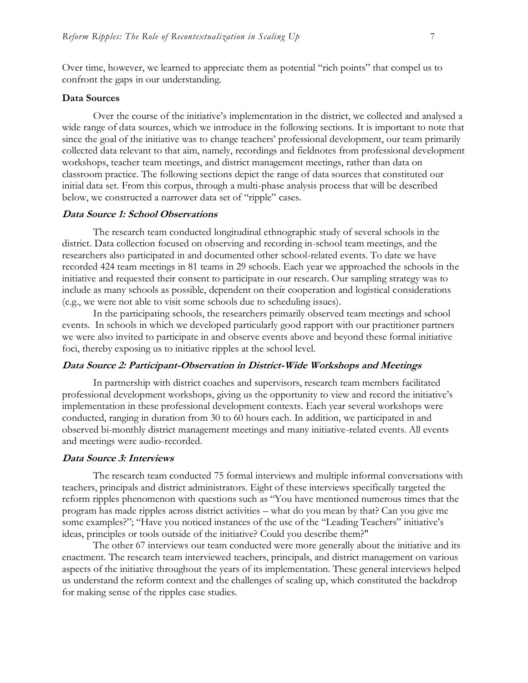Over time, however, we learned to appreciate them as potential "rich points" that compel us to confront the gaps in our understanding.

#### **Data Sources**

Over the course of the initiative's implementation in the district, we collected and analysed a wide range of data sources, which we introduce in the following sections. It is important to note that since the goal of the initiative was to change teachers' professional development, our team primarily collected data relevant to that aim, namely, recordings and fieldnotes from professional development workshops, teacher team meetings, and district management meetings, rather than data on classroom practice. The following sections depict the range of data sources that constituted our initial data set. From this corpus, through a multi-phase analysis process that will be described below, we constructed a narrower data set of "ripple" cases.

#### **Data Source 1: School Observations**

The research team conducted longitudinal ethnographic study of several schools in the district. Data collection focused on observing and recording in-school team meetings, and the researchers also participated in and documented other school-related events. To date we have recorded 424 team meetings in 81 teams in 29 schools. Each year we approached the schools in the initiative and requested their consent to participate in our research. Our sampling strategy was to include as many schools as possible, dependent on their cooperation and logistical considerations (e.g., we were not able to visit some schools due to scheduling issues).

In the participating schools, the researchers primarily observed team meetings and school events. In schools in which we developed particularly good rapport with our practitioner partners we were also invited to participate in and observe events above and beyond these formal initiative foci, thereby exposing us to initiative ripples at the school level.

#### **Data Source 2: Participant-Observation in District-Wide Workshops and Meetings**

In partnership with district coaches and supervisors, research team members facilitated professional development workshops, giving us the opportunity to view and record the initiative's implementation in these professional development contexts. Each year several workshops were conducted, ranging in duration from 30 to 60 hours each. In addition, we participated in and observed bi-monthly district management meetings and many initiative-related events. All events and meetings were audio-recorded.

#### **Data Source 3: Interviews**

The research team conducted 75 formal interviews and multiple informal conversations with teachers, principals and district administrators. Eight of these interviews specifically targeted the reform ripples phenomenon with questions such as "You have mentioned numerous times that the program has made ripples across district activities – what do you mean by that? Can you give me some examples?"; "Have you noticed instances of the use of the "Leading Teachers" initiative's ideas, principles or tools outside of the initiative? Could you describe them?"

The other 67 interviews our team conducted were more generally about the initiative and its enactment. The research team interviewed teachers, principals, and district management on various aspects of the initiative throughout the years of its implementation. These general interviews helped us understand the reform context and the challenges of scaling up, which constituted the backdrop for making sense of the ripples case studies.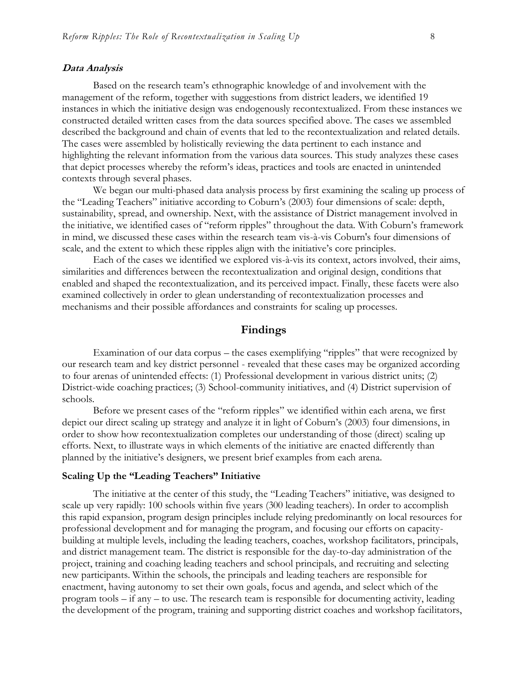#### **Data Analysis**

Based on the research team's ethnographic knowledge of and involvement with the management of the reform, together with suggestions from district leaders, we identified 19 instances in which the initiative design was endogenously recontextualized. From these instances we constructed detailed written cases from the data sources specified above. The cases we assembled described the background and chain of events that led to the recontextualization and related details. The cases were assembled by holistically reviewing the data pertinent to each instance and highlighting the relevant information from the various data sources. This study analyzes these cases that depict processes whereby the reform's ideas, practices and tools are enacted in unintended contexts through several phases.

We began our multi-phased data analysis process by first examining the scaling up process of the "Leading Teachers" initiative according to Coburn's (2003) four dimensions of scale: depth, sustainability, spread, and ownership. Next, with the assistance of District management involved in the initiative, we identified cases of "reform ripples" throughout the data. With Coburn's framework in mind, we discussed these cases within the research team vis-à-vis Coburn's four dimensions of scale, and the extent to which these ripples align with the initiative's core principles.

Each of the cases we identified we explored vis-à-vis its context, actors involved, their aims, similarities and differences between the recontextualization and original design, conditions that enabled and shaped the recontextualization, and its perceived impact. Finally, these facets were also examined collectively in order to glean understanding of recontextualization processes and mechanisms and their possible affordances and constraints for scaling up processes.

## **Findings**

Examination of our data corpus – the cases exemplifying "ripples" that were recognized by our research team and key district personnel - revealed that these cases may be organized according to four arenas of unintended effects: (1) Professional development in various district units; (2) District-wide coaching practices; (3) School-community initiatives, and (4) District supervision of schools.

Before we present cases of the "reform ripples" we identified within each arena, we first depict our direct scaling up strategy and analyze it in light of Coburn's (2003) four dimensions, in order to show how recontextualization completes our understanding of those (direct) scaling up efforts. Next, to illustrate ways in which elements of the initiative are enacted differently than planned by the initiative's designers, we present brief examples from each arena.

#### **Scaling Up the "Leading Teachers" Initiative**

The initiative at the center of this study, the "Leading Teachers" initiative, was designed to scale up very rapidly: 100 schools within five years (300 leading teachers). In order to accomplish this rapid expansion, program design principles include relying predominantly on local resources for professional development and for managing the program, and focusing our efforts on capacitybuilding at multiple levels, including the leading teachers, coaches, workshop facilitators, principals, and district management team. The district is responsible for the day-to-day administration of the project, training and coaching leading teachers and school principals, and recruiting and selecting new participants. Within the schools, the principals and leading teachers are responsible for enactment, having autonomy to set their own goals, focus and agenda, and select which of the program tools – if any – to use. The research team is responsible for documenting activity, leading the development of the program, training and supporting district coaches and workshop facilitators,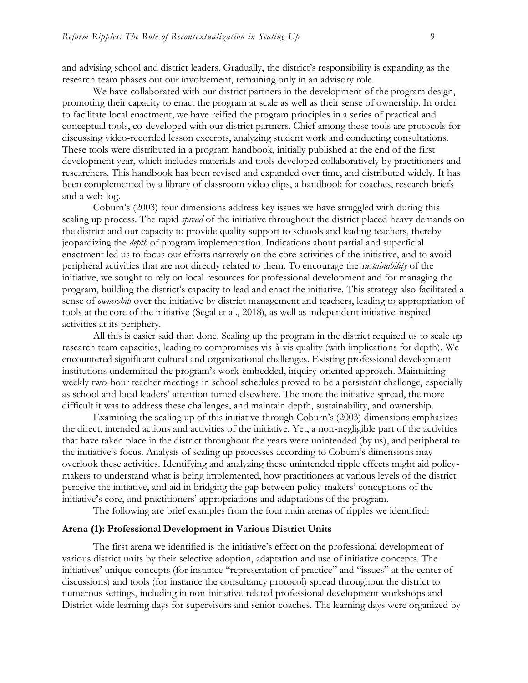and advising school and district leaders. Gradually, the district's responsibility is expanding as the research team phases out our involvement, remaining only in an advisory role.

We have collaborated with our district partners in the development of the program design, promoting their capacity to enact the program at scale as well as their sense of ownership. In order to facilitate local enactment, we have reified the program principles in a series of practical and conceptual tools, co-developed with our district partners. Chief among these tools are protocols for discussing video-recorded lesson excerpts, analyzing student work and conducting consultations. These tools were distributed in a program handbook, initially published at the end of the first development year, which includes materials and tools developed collaboratively by practitioners and researchers. This handbook has been revised and expanded over time, and distributed widely. It has been complemented by a library of classroom video clips, a handbook for coaches, research briefs and a web-log.

Coburn's (2003) four dimensions address key issues we have struggled with during this scaling up process. The rapid *spread* of the initiative throughout the district placed heavy demands on the district and our capacity to provide quality support to schools and leading teachers, thereby jeopardizing the *depth* of program implementation. Indications about partial and superficial enactment led us to focus our efforts narrowly on the core activities of the initiative, and to avoid peripheral activities that are not directly related to them. To encourage the *sustainability* of the initiative, we sought to rely on local resources for professional development and for managing the program, building the district's capacity to lead and enact the initiative. This strategy also facilitated a sense of *ownership* over the initiative by district management and teachers, leading to appropriation of tools at the core of the initiative (Segal et al., 2018), as well as independent initiative-inspired activities at its periphery.

All this is easier said than done. Scaling up the program in the district required us to scale up research team capacities, leading to compromises vis-à-vis quality (with implications for depth). We encountered significant cultural and organizational challenges. Existing professional development institutions undermined the program's work-embedded, inquiry-oriented approach. Maintaining weekly two-hour teacher meetings in school schedules proved to be a persistent challenge, especially as school and local leaders' attention turned elsewhere. The more the initiative spread, the more difficult it was to address these challenges, and maintain depth, sustainability, and ownership.

Examining the scaling up of this initiative through Coburn's (2003) dimensions emphasizes the direct, intended actions and activities of the initiative. Yet, a non-negligible part of the activities that have taken place in the district throughout the years were unintended (by us), and peripheral to the initiative's focus. Analysis of scaling up processes according to Coburn's dimensions may overlook these activities. Identifying and analyzing these unintended ripple effects might aid policymakers to understand what is being implemented, how practitioners at various levels of the district perceive the initiative, and aid in bridging the gap between policy-makers' conceptions of the initiative's core, and practitioners' appropriations and adaptations of the program.

The following are brief examples from the four main arenas of ripples we identified:

#### **Arena (1): Professional Development in Various District Units**

The first arena we identified is the initiative's effect on the professional development of various district units by their selective adoption, adaptation and use of initiative concepts. The initiatives' unique concepts (for instance "representation of practice" and "issues" at the center of discussions) and tools (for instance the consultancy protocol) spread throughout the district to numerous settings, including in non-initiative-related professional development workshops and District-wide learning days for supervisors and senior coaches. The learning days were organized by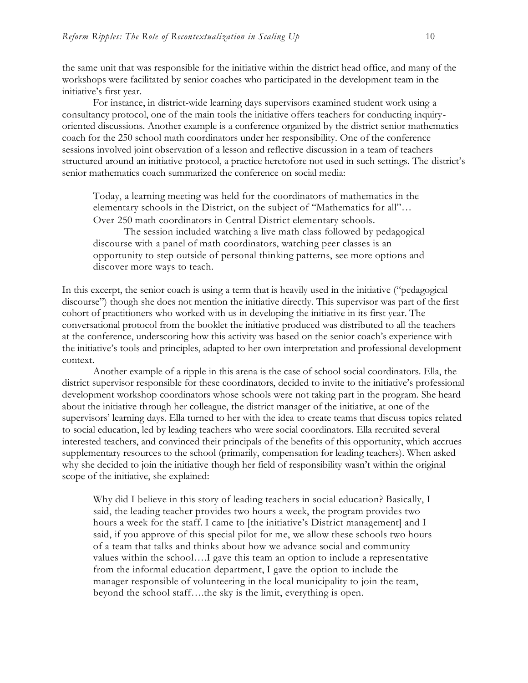the same unit that was responsible for the initiative within the district head office, and many of the workshops were facilitated by senior coaches who participated in the development team in the initiative's first year.

For instance, in district-wide learning days supervisors examined student work using a consultancy protocol, one of the main tools the initiative offers teachers for conducting inquiryoriented discussions. Another example is a conference organized by the district senior mathematics coach for the 250 school math coordinators under her responsibility. One of the conference sessions involved joint observation of a lesson and reflective discussion in a team of teachers structured around an initiative protocol, a practice heretofore not used in such settings. The district's senior mathematics coach summarized the conference on social media:

Today, a learning meeting was held for the coordinators of mathematics in the elementary schools in the District, on the subject of "Mathematics for all"… Over 250 math coordinators in Central District elementary schools.

The session included watching a live math class followed by pedagogical discourse with a panel of math coordinators, watching peer classes is an opportunity to step outside of personal thinking patterns, see more options and discover more ways to teach.

In this excerpt, the senior coach is using a term that is heavily used in the initiative ("pedagogical discourse") though she does not mention the initiative directly. This supervisor was part of the first cohort of practitioners who worked with us in developing the initiative in its first year. The conversational protocol from the booklet the initiative produced was distributed to all the teachers at the conference, underscoring how this activity was based on the senior coach's experience with the initiative's tools and principles, adapted to her own interpretation and professional development context.

Another example of a ripple in this arena is the case of school social coordinators. Ella, the district supervisor responsible for these coordinators, decided to invite to the initiative's professional development workshop coordinators whose schools were not taking part in the program. She heard about the initiative through her colleague, the district manager of the initiative, at one of the supervisors' learning days. Ella turned to her with the idea to create teams that discuss topics related to social education, led by leading teachers who were social coordinators. Ella recruited several interested teachers, and convinced their principals of the benefits of this opportunity, which accrues supplementary resources to the school (primarily, compensation for leading teachers). When asked why she decided to join the initiative though her field of responsibility wasn't within the original scope of the initiative, she explained:

Why did I believe in this story of leading teachers in social education? Basically, I said, the leading teacher provides two hours a week, the program provides two hours a week for the staff. I came to [the initiative's District management] and I said, if you approve of this special pilot for me, we allow these schools two hours of a team that talks and thinks about how we advance social and community values within the school….I gave this team an option to include a representative from the informal education department, I gave the option to include the manager responsible of volunteering in the local municipality to join the team, beyond the school staff….the sky is the limit, everything is open.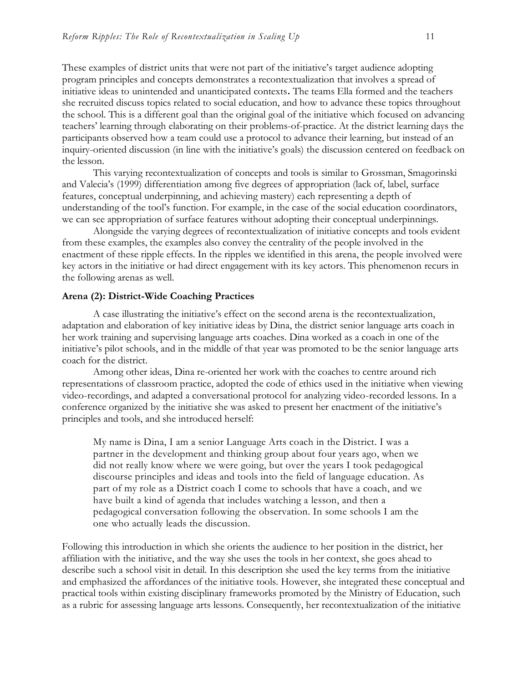These examples of district units that were not part of the initiative's target audience adopting program principles and concepts demonstrates a recontextualization that involves a spread of initiative ideas to unintended and unanticipated contexts**.** The teams Ella formed and the teachers she recruited discuss topics related to social education, and how to advance these topics throughout the school. This is a different goal than the original goal of the initiative which focused on advancing teachers' learning through elaborating on their problems-of-practice. At the district learning days the participants observed how a team could use a protocol to advance their learning, but instead of an inquiry-oriented discussion (in line with the initiative's goals) the discussion centered on feedback on the lesson.

This varying recontextualization of concepts and tools is similar to Grossman, Smagorinski and Valecia's (1999) differentiation among five degrees of appropriation (lack of, label, surface features, conceptual underpinning, and achieving mastery) each representing a depth of understanding of the tool's function. For example, in the case of the social education coordinators, we can see appropriation of surface features without adopting their conceptual underpinnings.

Alongside the varying degrees of recontextualization of initiative concepts and tools evident from these examples, the examples also convey the centrality of the people involved in the enactment of these ripple effects. In the ripples we identified in this arena, the people involved were key actors in the initiative or had direct engagement with its key actors. This phenomenon recurs in the following arenas as well.

#### **Arena (2): District-Wide Coaching Practices**

A case illustrating the initiative's effect on the second arena is the recontextualization, adaptation and elaboration of key initiative ideas by Dina, the district senior language arts coach in her work training and supervising language arts coaches. Dina worked as a coach in one of the initiative's pilot schools, and in the middle of that year was promoted to be the senior language arts coach for the district.

Among other ideas, Dina re-oriented her work with the coaches to centre around rich representations of classroom practice, adopted the code of ethics used in the initiative when viewing video-recordings, and adapted a conversational protocol for analyzing video-recorded lessons. In a conference organized by the initiative she was asked to present her enactment of the initiative's principles and tools, and she introduced herself:

My name is Dina, I am a senior Language Arts coach in the District. I was a partner in the development and thinking group about four years ago, when we did not really know where we were going, but over the years I took pedagogical discourse principles and ideas and tools into the field of language education. As part of my role as a District coach I come to schools that have a coach, and we have built a kind of agenda that includes watching a lesson, and then a pedagogical conversation following the observation. In some schools I am the one who actually leads the discussion.

Following this introduction in which she orients the audience to her position in the district, her affiliation with the initiative, and the way she uses the tools in her context, she goes ahead to describe such a school visit in detail. In this description she used the key terms from the initiative and emphasized the affordances of the initiative tools. However, she integrated these conceptual and practical tools within existing disciplinary frameworks promoted by the Ministry of Education, such as a rubric for assessing language arts lessons. Consequently, her recontextualization of the initiative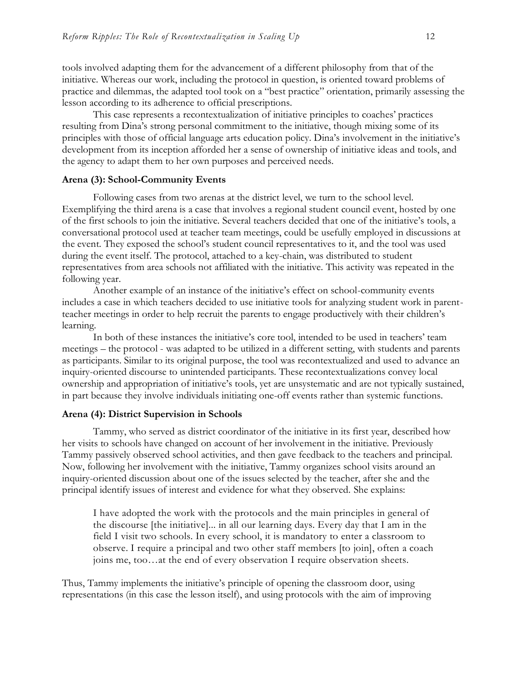tools involved adapting them for the advancement of a different philosophy from that of the initiative. Whereas our work, including the protocol in question, is oriented toward problems of practice and dilemmas, the adapted tool took on a "best practice" orientation, primarily assessing the lesson according to its adherence to official prescriptions.

This case represents a recontextualization of initiative principles to coaches' practices resulting from Dina's strong personal commitment to the initiative, though mixing some of its principles with those of official language arts education policy. Dina's involvement in the initiative's development from its inception afforded her a sense of ownership of initiative ideas and tools, and the agency to adapt them to her own purposes and perceived needs.

#### **Arena (3): School-Community Events**

Following cases from two arenas at the district level, we turn to the school level. Exemplifying the third arena is a case that involves a regional student council event, hosted by one of the first schools to join the initiative. Several teachers decided that one of the initiative's tools, a conversational protocol used at teacher team meetings, could be usefully employed in discussions at the event. They exposed the school's student council representatives to it, and the tool was used during the event itself. The protocol, attached to a key-chain, was distributed to student representatives from area schools not affiliated with the initiative. This activity was repeated in the following year.

Another example of an instance of the initiative's effect on school-community events includes a case in which teachers decided to use initiative tools for analyzing student work in parentteacher meetings in order to help recruit the parents to engage productively with their children's learning.

In both of these instances the initiative's core tool, intended to be used in teachers' team meetings – the protocol - was adapted to be utilized in a different setting, with students and parents as participants. Similar to its original purpose, the tool was recontextualized and used to advance an inquiry-oriented discourse to unintended participants. These recontextualizations convey local ownership and appropriation of initiative's tools, yet are unsystematic and are not typically sustained, in part because they involve individuals initiating one-off events rather than systemic functions.

#### **Arena (4): District Supervision in Schools**

Tammy, who served as district coordinator of the initiative in its first year, described how her visits to schools have changed on account of her involvement in the initiative. Previously Tammy passively observed school activities, and then gave feedback to the teachers and principal. Now, following her involvement with the initiative, Tammy organizes school visits around an inquiry-oriented discussion about one of the issues selected by the teacher, after she and the principal identify issues of interest and evidence for what they observed. She explains:

I have adopted the work with the protocols and the main principles in general of the discourse [the initiative]... in all our learning days. Every day that I am in the field I visit two schools. In every school, it is mandatory to enter a classroom to observe. I require a principal and two other staff members [to join], often a coach joins me, too…at the end of every observation I require observation sheets.

Thus, Tammy implements the initiative's principle of opening the classroom door, using representations (in this case the lesson itself), and using protocols with the aim of improving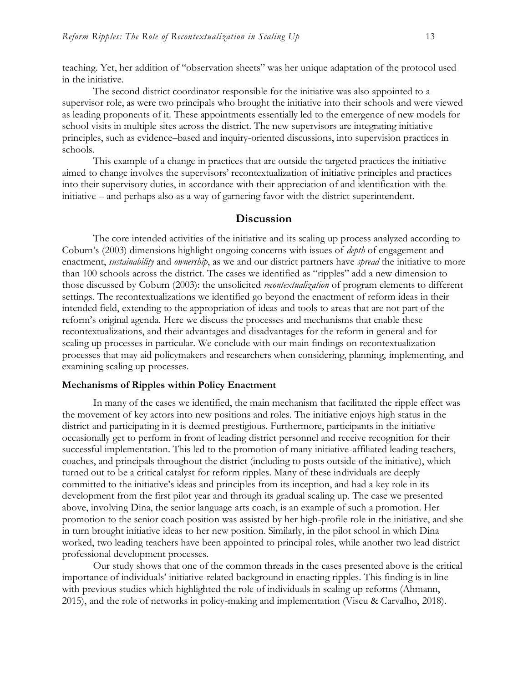teaching. Yet, her addition of "observation sheets" was her unique adaptation of the protocol used in the initiative.

The second district coordinator responsible for the initiative was also appointed to a supervisor role, as were two principals who brought the initiative into their schools and were viewed as leading proponents of it. These appointments essentially led to the emergence of new models for school visits in multiple sites across the district. The new supervisors are integrating initiative principles, such as evidence–based and inquiry-oriented discussions, into supervision practices in schools.

This example of a change in practices that are outside the targeted practices the initiative aimed to change involves the supervisors' recontextualization of initiative principles and practices into their supervisory duties, in accordance with their appreciation of and identification with the initiative – and perhaps also as a way of garnering favor with the district superintendent.

#### **Discussion**

The core intended activities of the initiative and its scaling up process analyzed according to Coburn's (2003) dimensions highlight ongoing concerns with issues of *depth* of engagement and enactment, *sustainability* and *ownership*, as we and our district partners have *spread* the initiative to more than 100 schools across the district. The cases we identified as "ripples" add a new dimension to those discussed by Coburn (2003): the unsolicited *recontextualization* of program elements to different settings. The recontextualizations we identified go beyond the enactment of reform ideas in their intended field, extending to the appropriation of ideas and tools to areas that are not part of the reform's original agenda. Here we discuss the processes and mechanisms that enable these recontextualizations, and their advantages and disadvantages for the reform in general and for scaling up processes in particular. We conclude with our main findings on recontextualization processes that may aid policymakers and researchers when considering, planning, implementing, and examining scaling up processes.

#### **Mechanisms of Ripples within Policy Enactment**

In many of the cases we identified, the main mechanism that facilitated the ripple effect was the movement of key actors into new positions and roles. The initiative enjoys high status in the district and participating in it is deemed prestigious. Furthermore, participants in the initiative occasionally get to perform in front of leading district personnel and receive recognition for their successful implementation. This led to the promotion of many initiative-affiliated leading teachers, coaches, and principals throughout the district (including to posts outside of the initiative), which turned out to be a critical catalyst for reform ripples. Many of these individuals are deeply committed to the initiative's ideas and principles from its inception, and had a key role in its development from the first pilot year and through its gradual scaling up. The case we presented above, involving Dina, the senior language arts coach, is an example of such a promotion. Her promotion to the senior coach position was assisted by her high-profile role in the initiative, and she in turn brought initiative ideas to her new position. Similarly, in the pilot school in which Dina worked, two leading teachers have been appointed to principal roles, while another two lead district professional development processes.

Our study shows that one of the common threads in the cases presented above is the critical importance of individuals' initiative-related background in enacting ripples. This finding is in line with previous studies which highlighted the role of individuals in scaling up reforms (Ahmann, 2015), and the role of networks in policy-making and implementation (Viseu & Carvalho, 2018).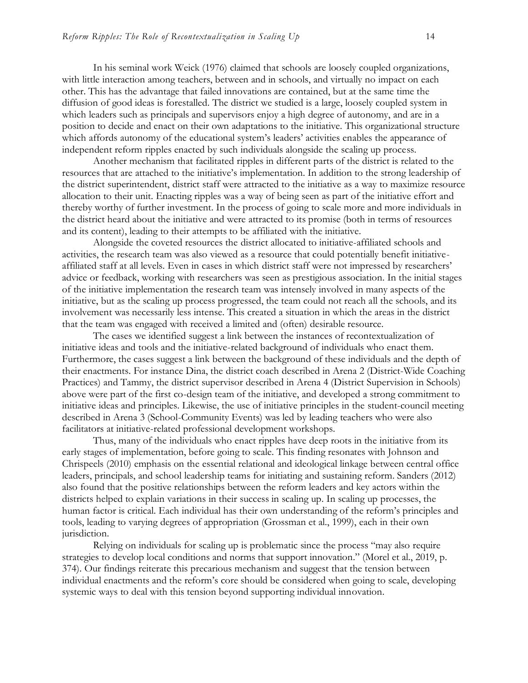In his seminal work Weick (1976) claimed that schools are loosely coupled organizations, with little interaction among teachers, between and in schools, and virtually no impact on each other. This has the advantage that failed innovations are contained, but at the same time the diffusion of good ideas is forestalled. The district we studied is a large, loosely coupled system in which leaders such as principals and supervisors enjoy a high degree of autonomy, and are in a position to decide and enact on their own adaptations to the initiative. This organizational structure which affords autonomy of the educational system's leaders' activities enables the appearance of independent reform ripples enacted by such individuals alongside the scaling up process.

Another mechanism that facilitated ripples in different parts of the district is related to the resources that are attached to the initiative's implementation. In addition to the strong leadership of the district superintendent, district staff were attracted to the initiative as a way to maximize resource allocation to their unit. Enacting ripples was a way of being seen as part of the initiative effort and thereby worthy of further investment. In the process of going to scale more and more individuals in the district heard about the initiative and were attracted to its promise (both in terms of resources and its content), leading to their attempts to be affiliated with the initiative.

Alongside the coveted resources the district allocated to initiative-affiliated schools and activities, the research team was also viewed as a resource that could potentially benefit initiativeaffiliated staff at all levels. Even in cases in which district staff were not impressed by researchers' advice or feedback, working with researchers was seen as prestigious association. In the initial stages of the initiative implementation the research team was intensely involved in many aspects of the initiative, but as the scaling up process progressed, the team could not reach all the schools, and its involvement was necessarily less intense. This created a situation in which the areas in the district that the team was engaged with received a limited and (often) desirable resource.

The cases we identified suggest a link between the instances of recontextualization of initiative ideas and tools and the initiative-related background of individuals who enact them. Furthermore, the cases suggest a link between the background of these individuals and the depth of their enactments. For instance Dina, the district coach described in Arena 2 (District-Wide Coaching Practices) and Tammy, the district supervisor described in Arena 4 (District Supervision in Schools) above were part of the first co-design team of the initiative, and developed a strong commitment to initiative ideas and principles. Likewise, the use of initiative principles in the student-council meeting described in Arena 3 (School-Community Events) was led by leading teachers who were also facilitators at initiative-related professional development workshops.

Thus, many of the individuals who enact ripples have deep roots in the initiative from its early stages of implementation, before going to scale. This finding resonates with Johnson and Chrispeels (2010) emphasis on the essential relational and ideological linkage between central office leaders, principals, and school leadership teams for initiating and sustaining reform. Sanders (2012) also found that the positive relationships between the reform leaders and key actors within the districts helped to explain variations in their success in scaling up. In scaling up processes, the human factor is critical. Each individual has their own understanding of the reform's principles and tools, leading to varying degrees of appropriation (Grossman et al., 1999), each in their own jurisdiction.

Relying on individuals for scaling up is problematic since the process "may also require strategies to develop local conditions and norms that support innovation." (Morel et al., 2019, p. 374). Our findings reiterate this precarious mechanism and suggest that the tension between individual enactments and the reform's core should be considered when going to scale, developing systemic ways to deal with this tension beyond supporting individual innovation.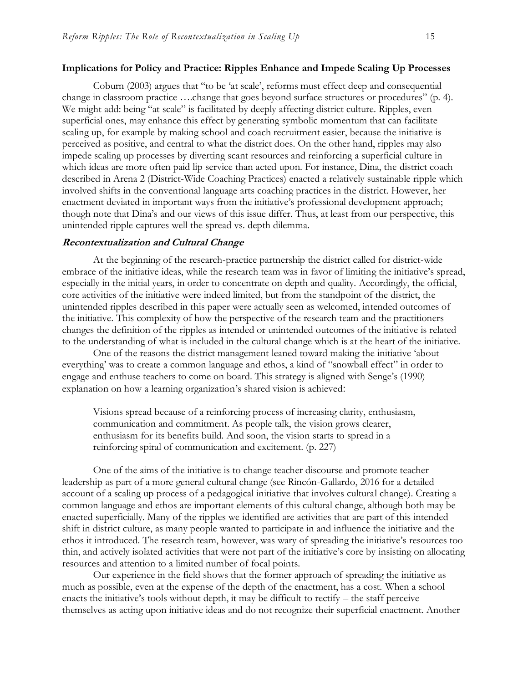#### **Implications for Policy and Practice: Ripples Enhance and Impede Scaling Up Processes**

Coburn (2003) argues that "to be 'at scale', reforms must effect deep and consequential change in classroom practice ….change that goes beyond surface structures or procedures" (p. 4). We might add: being "at scale" is facilitated by deeply affecting district culture. Ripples, even superficial ones, may enhance this effect by generating symbolic momentum that can facilitate scaling up, for example by making school and coach recruitment easier, because the initiative is perceived as positive, and central to what the district does. On the other hand, ripples may also impede scaling up processes by diverting scant resources and reinforcing a superficial culture in which ideas are more often paid lip service than acted upon. For instance, Dina, the district coach described in Arena 2 (District-Wide Coaching Practices) enacted a relatively sustainable ripple which involved shifts in the conventional language arts coaching practices in the district. However, her enactment deviated in important ways from the initiative's professional development approach; though note that Dina's and our views of this issue differ. Thus, at least from our perspective, this unintended ripple captures well the spread vs. depth dilemma.

#### **Recontextualization and Cultural Change**

At the beginning of the research-practice partnership the district called for district-wide embrace of the initiative ideas, while the research team was in favor of limiting the initiative's spread, especially in the initial years, in order to concentrate on depth and quality. Accordingly, the official, core activities of the initiative were indeed limited, but from the standpoint of the district, the unintended ripples described in this paper were actually seen as welcomed, intended outcomes of the initiative. This complexity of how the perspective of the research team and the practitioners changes the definition of the ripples as intended or unintended outcomes of the initiative is related to the understanding of what is included in the cultural change which is at the heart of the initiative.

One of the reasons the district management leaned toward making the initiative 'about everything' was to create a common language and ethos, a kind of "snowball effect" in order to engage and enthuse teachers to come on board. This strategy is aligned with Senge's (1990) explanation on how a learning organization's shared vision is achieved:

Visions spread because of a reinforcing process of increasing clarity, enthusiasm, communication and commitment. As people talk, the vision grows clearer, enthusiasm for its benefits build. And soon, the vision starts to spread in a reinforcing spiral of communication and excitement. (p. 227)

One of the aims of the initiative is to change teacher discourse and promote teacher leadership as part of a more general cultural change (see Rincón-Gallardo, 2016 for a detailed account of a scaling up process of a pedagogical initiative that involves cultural change). Creating a common language and ethos are important elements of this cultural change, although both may be enacted superficially. Many of the ripples we identified are activities that are part of this intended shift in district culture, as many people wanted to participate in and influence the initiative and the ethos it introduced. The research team, however, was wary of spreading the initiative's resources too thin, and actively isolated activities that were not part of the initiative's core by insisting on allocating resources and attention to a limited number of focal points.

Our experience in the field shows that the former approach of spreading the initiative as much as possible, even at the expense of the depth of the enactment, has a cost. When a school enacts the initiative's tools without depth, it may be difficult to rectify – the staff perceive themselves as acting upon initiative ideas and do not recognize their superficial enactment. Another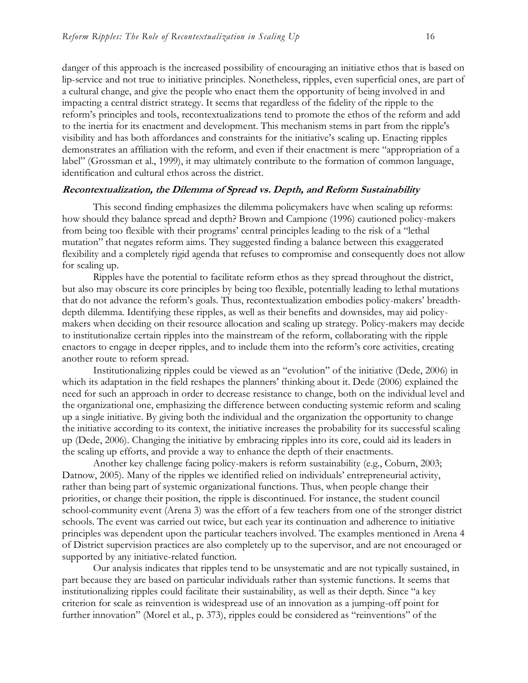danger of this approach is the increased possibility of encouraging an initiative ethos that is based on lip-service and not true to initiative principles. Nonetheless, ripples, even superficial ones, are part of a cultural change, and give the people who enact them the opportunity of being involved in and impacting a central district strategy. It seems that regardless of the fidelity of the ripple to the reform's principles and tools, recontextualizations tend to promote the ethos of the reform and add to the inertia for its enactment and development. This mechanism stems in part from the ripple's visibility and has both affordances and constraints for the initiative's scaling up. Enacting ripples demonstrates an affiliation with the reform, and even if their enactment is mere "appropriation of a label" (Grossman et al., 1999), it may ultimately contribute to the formation of common language, identification and cultural ethos across the district.

### **Recontextualization, the Dilemma of Spread vs. Depth, and Reform Sustainability**

This second finding emphasizes the dilemma policymakers have when scaling up reforms: how should they balance spread and depth? Brown and Campione (1996) cautioned policy-makers from being too flexible with their programs' central principles leading to the risk of a "lethal mutation" that negates reform aims. They suggested finding a balance between this exaggerated flexibility and a completely rigid agenda that refuses to compromise and consequently does not allow for scaling up.

Ripples have the potential to facilitate reform ethos as they spread throughout the district, but also may obscure its core principles by being too flexible, potentially leading to lethal mutations that do not advance the reform's goals. Thus, recontextualization embodies policy-makers' breadthdepth dilemma. Identifying these ripples, as well as their benefits and downsides, may aid policymakers when deciding on their resource allocation and scaling up strategy. Policy-makers may decide to institutionalize certain ripples into the mainstream of the reform, collaborating with the ripple enactors to engage in deeper ripples, and to include them into the reform's core activities, creating another route to reform spread.

Institutionalizing ripples could be viewed as an "evolution" of the initiative (Dede, 2006) in which its adaptation in the field reshapes the planners' thinking about it. Dede (2006) explained the need for such an approach in order to decrease resistance to change, both on the individual level and the organizational one, emphasizing the difference between conducting systemic reform and scaling up a single initiative. By giving both the individual and the organization the opportunity to change the initiative according to its context, the initiative increases the probability for its successful scaling up (Dede, 2006). Changing the initiative by embracing ripples into its core, could aid its leaders in the scaling up efforts, and provide a way to enhance the depth of their enactments.

Another key challenge facing policy-makers is reform sustainability (e.g., Coburn, 2003; Datnow, 2005). Many of the ripples we identified relied on individuals' entrepreneurial activity, rather than being part of systemic organizational functions. Thus, when people change their priorities, or change their position, the ripple is discontinued. For instance, the student council school-community event (Arena 3) was the effort of a few teachers from one of the stronger district schools. The event was carried out twice, but each year its continuation and adherence to initiative principles was dependent upon the particular teachers involved. The examples mentioned in Arena 4 of District supervision practices are also completely up to the supervisor, and are not encouraged or supported by any initiative-related function.

Our analysis indicates that ripples tend to be unsystematic and are not typically sustained, in part because they are based on particular individuals rather than systemic functions. It seems that institutionalizing ripples could facilitate their sustainability, as well as their depth. Since "a key criterion for scale as reinvention is widespread use of an innovation as a jumping-off point for further innovation" (Morel et al., p. 373), ripples could be considered as "reinventions" of the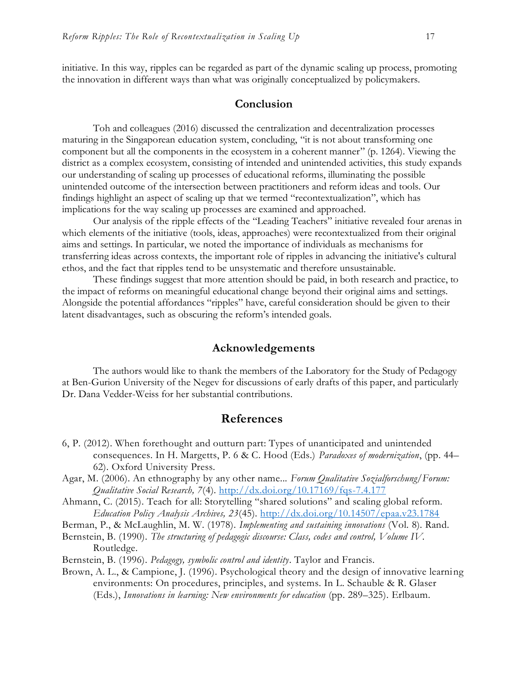initiative. In this way, ripples can be regarded as part of the dynamic scaling up process, promoting the innovation in different ways than what was originally conceptualized by policymakers.

#### **Conclusion**

Toh and colleagues (2016) discussed the centralization and decentralization processes maturing in the Singaporean education system, concluding, "it is not about transforming one component but all the components in the ecosystem in a coherent manner" (p. 1264). Viewing the district as a complex ecosystem, consisting of intended and unintended activities, this study expands our understanding of scaling up processes of educational reforms, illuminating the possible unintended outcome of the intersection between practitioners and reform ideas and tools. Our findings highlight an aspect of scaling up that we termed "recontextualization", which has implications for the way scaling up processes are examined and approached.

Our analysis of the ripple effects of the "Leading Teachers" initiative revealed four arenas in which elements of the initiative (tools, ideas, approaches) were recontextualized from their original aims and settings. In particular, we noted the importance of individuals as mechanisms for transferring ideas across contexts, the important role of ripples in advancing the initiative's cultural ethos, and the fact that ripples tend to be unsystematic and therefore unsustainable.

These findings suggest that more attention should be paid, in both research and practice, to the impact of reforms on meaningful educational change beyond their original aims and settings. Alongside the potential affordances "ripples" have, careful consideration should be given to their latent disadvantages, such as obscuring the reform's intended goals.

### **Acknowledgements**

The authors would like to thank the members of the Laboratory for the Study of Pedagogy at Ben-Gurion University of the Negev for discussions of early drafts of this paper, and particularly Dr. Dana Vedder-Weiss for her substantial contributions.

# **References**

- 6, P. (2012). When forethought and outturn part: Types of unanticipated and unintended consequences. In H. Margetts, P. 6 & C. Hood (Eds.) *Paradoxes of modernization*, (pp. 44– 62). Oxford University Press.
- Agar, M. (2006). An ethnography by any other name... *Forum Qualitative Sozialforschung/Forum: Qualitative Social Research, 7*(4). <http://dx.doi.org/10.17169/fqs-7.4.177>
- Ahmann, C. (2015). Teach for all: Storytelling "shared solutions" and scaling global reform. *Education Policy Analysis Archives, 23*(45).<http://dx.doi.org/10.14507/epaa.v23.1784>

Berman, P., & McLaughlin, M. W. (1978). *Implementing and sustaining innovations* (Vol. 8). Rand.

Bernstein, B. (1990). *The structuring of pedagogic discourse: Class, codes and control, Volume IV.*  Routledge.

Bernstein, B. (1996). *Pedagogy, symbolic control and identity*. Taylor and Francis.

Brown, A. L., & Campione, J. (1996). Psychological theory and the design of innovative learning environments: On procedures, principles, and systems. In L. Schauble & R. Glaser (Eds.), *Innovations in learning: New environments for education* (pp. 289–325). Erlbaum.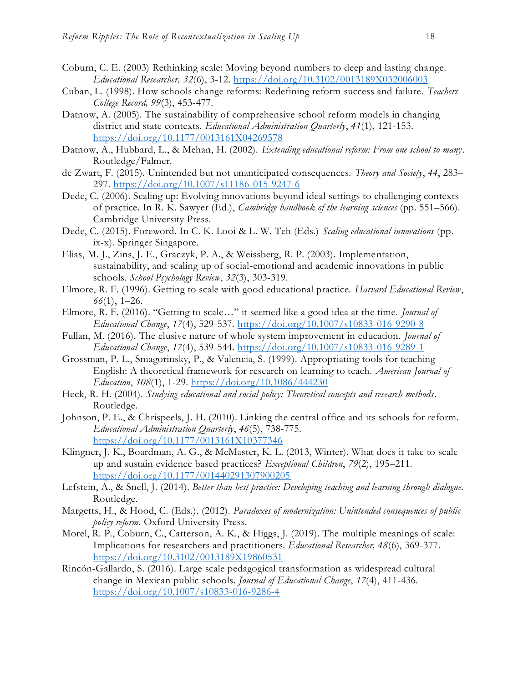- Coburn, C. E. (2003) Rethinking scale: Moving beyond numbers to deep and lasting change. *Educational Researcher, 32*(6), 3-12.<https://doi.org/10.3102/0013189X032006003>
- Cuban, L. (1998). How schools change reforms: Redefining reform success and failure. *Teachers College Record, 99*(3), 453-477.
- Datnow, A. (2005). The sustainability of comprehensive school reform models in changing district and state contexts. *Educational Administration Quarterly*, *41*(1), 121-153. <https://doi.org/10.1177/0013161X04269578>
- Datnow, A., Hubbard, L., & Mehan, H. (2002). *Extending educational reform: From one school to many*. Routledge/Falmer.
- de Zwart, F. (2015). Unintended but not unanticipated consequences. *Theory and Society*, *44*, 283– 297.<https://doi.org/10.1007/s11186-015-9247-6>
- Dede, C. (2006). Scaling up: Evolving innovations beyond ideal settings to challenging contexts of practice. In R. K. Sawyer (Ed.), *Cambridge handbook of the learning sciences* (pp. 551–566). Cambridge University Press.
- Dede, C. (2015). Foreword. In C. K. Looi & L. W. Teh (Eds.) *Scaling educational innovations* (pp. ix-x). Springer Singapore.
- Elias, M. J., Zins, J. E., Graczyk, P. A., & Weissberg, R. P. (2003). Implementation, sustainability, and scaling up of social-emotional and academic innovations in public schools. *School Psychology Review*, *32*(3), 303-319.
- Elmore, R. F. (1996). Getting to scale with good educational practice. *Harvard Educational Review*, *66*(1), 1–26.
- Elmore, R. F. (2016). "Getting to scale…" it seemed like a good idea at the time. *Journal of Educational Change*, *17*(4), 529-537.<https://doi.org/10.1007/s10833-016-9290-8>
- Fullan, M. (2016). The elusive nature of whole system improvement in education. *Journal of Educational Change*, *17*(4), 539-544.<https://doi.org/10.1007/s10833-016-9289-1>
- Grossman, P. L., Smagorinsky, P., & Valencia, S. (1999). Appropriating tools for teaching English: A theoretical framework for research on learning to teach. *American Journal of Education*, *108*(1), 1-29.<https://doi.org/10.1086/444230>
- Heck, R. H. (2004). *Studying educational and social policy: Theoretical concepts and research methods*. Routledge.
- Johnson, P. E., & Chrispeels, J. H. (2010). Linking the central office and its schools for reform. *Educational Administration Quarterly*, *46*(5), 738-775. <https://doi.org/10.1177/0013161X10377346>
- Klingner, J. K., Boardman, A. G., & McMaster, K. L. (2013, Winter). What does it take to scale up and sustain evidence based practices? *Exceptional Children*, *79*(2), 195–211. <https://doi.org/10.1177/001440291307900205>
- Lefstein, A., & Snell, J. (2014). *Better than best practice: Developing teaching and learning through dialogue.* Routledge.
- Margetts, H., & Hood, C. (Eds.). (2012). *Paradoxes of modernization: Unintended consequences of public policy reform.* Oxford University Press.
- Morel, R. P., Coburn, C., Catterson, A. K., & Higgs, J. (2019). The multiple meanings of scale: Implications for researchers and practitioners. *Educational Researcher, 48*(6), 369-377. [https://doi.org/10.3102/0013189X19860531](https://doi.org/10.3102%2F0013189X19860531)
- Rincón-Gallardo, S. (2016). Large scale pedagogical transformation as widespread cultural change in Mexican public schools. *Journal of Educational Change*, *17*(4), 411-436. <https://doi.org/10.1007/s10833-016-9286-4>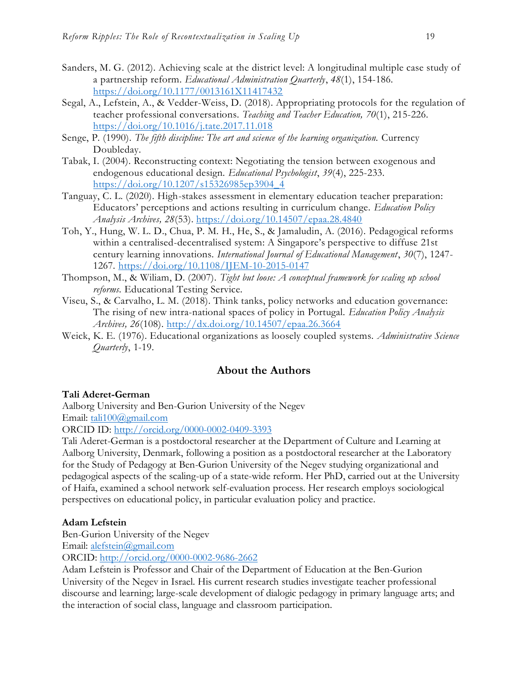- Sanders, M. G. (2012). Achieving scale at the district level: A longitudinal multiple case study of a partnership reform. *Educational Administration Quarterly*, *48*(1), 154-186. <https://doi.org/10.1177/0013161X11417432>
- Segal, A., Lefstein, A., & Vedder-Weiss, D. (2018). Appropriating protocols for the regulation of teacher professional conversations. *Teaching and Teacher Education, 70*(1), 215-226. <https://doi.org/10.1016/j.tate.2017.11.018>
- Senge, P. (1990). *The fifth discipline: The art and science of the learning organization.* Currency Doubleday.
- Tabak, I. (2004). Reconstructing context: Negotiating the tension between exogenous and endogenous educational design. *Educational Psychologist*, *39*(4), 225-233. [https://doi.org/10.1207/s15326985ep3904\\_4](https://doi.org/10.1207/s15326985ep3904_4)
- Tanguay, C. L. (2020). High-stakes assessment in elementary education teacher preparation: Educators' perceptions and actions resulting in curriculum change. *Education Policy Analysis Archives, 28*(53).<https://doi.org/10.14507/epaa.28.4840>
- Toh, Y., Hung, W. L. D., Chua, P. M. H., He, S., & Jamaludin, A. (2016). Pedagogical reforms within a centralised-decentralised system: A Singapore's perspective to diffuse 21st century learning innovations. *International Journal of Educational Management*, *30*(7), 1247- 1267.<https://doi.org/10.1108/IJEM-10-2015-0147>
- Thompson, M., & Wiliam, D. (2007). *Tight but loose: A conceptual framework for scaling up school reforms.* Educational Testing Service.
- Viseu, S., & Carvalho, L. M. (2018). Think tanks, policy networks and education governance: The rising of new intra-national spaces of policy in Portugal. *Education Policy Analysis Archives, 26*(108).<http://dx.doi.org/10.14507/epaa.26.3664>
- Weick, K. E. (1976). Educational organizations as loosely coupled systems. *Administrative Science Quarterly*, 1-19.

# **About the Authors**

# **Tali Aderet-German**

Aalborg University and Ben-Gurion University of the Negev Email: [tali100@gmail.com](mailto:tali100@gmail.com)

ORCID ID:<http://orcid.org/0000-0002-0409-3393>

Tali Aderet-German is a postdoctoral researcher at the Department of Culture and Learning at Aalborg University, Denmark, following a position as a postdoctoral researcher at the Laboratory for the Study of Pedagogy at Ben-Gurion University of the Negev studying organizational and pedagogical aspects of the scaling-up of a state-wide reform. Her PhD, carried out at the University of Haifa, examined a school network self-evaluation process. Her research employs sociological perspectives on educational policy, in particular evaluation policy and practice.

# **Adam Lefstein**

Ben-Gurion University of the Negev

Email: [alefstein@gmail.com](mailto:alefstein@gmail.com)

ORCID:<http://orcid.org/0000-0002-9686-2662>

Adam Lefstein is Professor and Chair of the Department of Education at the Ben-Gurion University of the Negev in Israel. His current research studies investigate teacher professional discourse and learning; large-scale development of dialogic pedagogy in primary language arts; and the interaction of social class, language and classroom participation.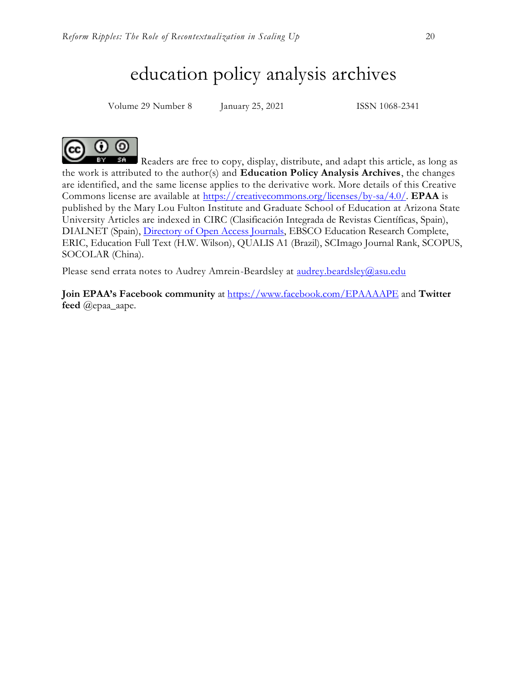# education policy analysis archives

Volume 29 Number 8 January 25, 2021 ISSN 1068-2341



Readers are free to copy, display, distribute, and adapt this article, as long as **BY** the work is attributed to the author(s) and **Education Policy Analysis Archives**, the changes are identified, and the same license applies to the derivative work. More details of this Creative Commons license are available at [https://creativecommons.org/licenses/by-sa/4.0/.](https://creativecommons.org/licenses/by-sa/4.0/) **EPAA** is published by the Mary Lou Fulton Institute and Graduate School of Education at Arizona State University Articles are indexed in CIRC (Clasificación Integrada de Revistas Científicas, Spain), DIALNET (Spain), [Directory of Open Access Journals,](http://www.doaj.org/) EBSCO Education Research Complete, ERIC, Education Full Text (H.W. Wilson), QUALIS A1 (Brazil), SCImago Journal Rank, SCOPUS, SOCOLAR (China).

Please send errata notes to Audrey Amrein-Beardsley at [audrey.beardsley@asu.edu](mailto:audrey.beardsley@asu.edu)

**Join EPAA's Facebook community** at<https://www.facebook.com/EPAAAAPE> and **Twitter feed** @epaa\_aape.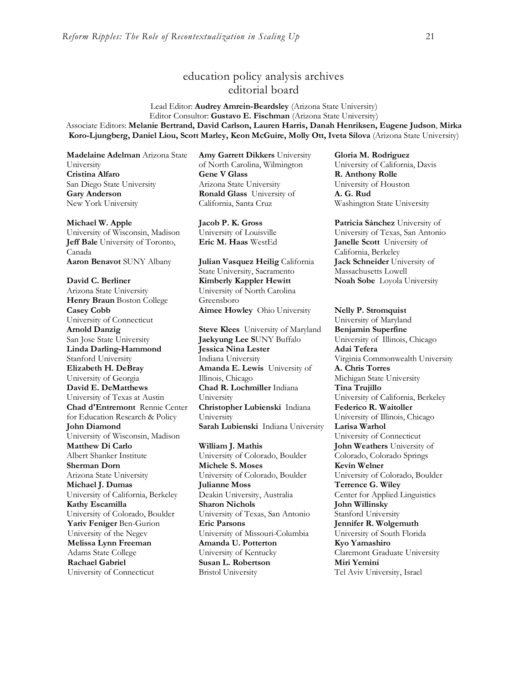# education policy analysis archives editorial board

#### Lead Editor: **Audrey Amrein-Beardsley** (Arizona State University) Editor Consultor: **Gustavo E. Fischman** (Arizona State University) Associate Editors: **Melanie Bertrand, David Carlson, Lauren Harris, Danah Henriksen, Eugene Judson**, **Mirka Koro-Ljungberg, Daniel Liou, Scott Marley, Keon McGuire, Molly Ott, Iveta Silova** (Arizona State University)

**Madelaine Adelman** Arizona State University **Cristina Alfaro**  San Diego State University **Gary Anderson** New York University

#### **Michael W. Apple**

University of Wisconsin, Madison **Jeff Bale** University of Toronto, Canada **Aaron Benavot** SUNY Albany **Julian Vasquez Heilig** California

#### **David C. Berliner**

Arizona State University **Henry Braun** Boston College **Casey Cobb** University of Connecticut **Arnold Danzig** San Jose State University **Linda Darling-Hammond**  Stanford University **Elizabeth H. DeBray**  University of Georgia **David E. DeMatthews** University of Texas at Austin **Chad d'Entremont** Rennie Center for Education Research & Policy **John Diamond** University of Wisconsin, Madison **Matthew Di Carlo**  Albert Shanker Institute **Sherman Dorn** Arizona State University **Michael J. Dumas**  University of California, Berkeley **Kathy Escamilla**  University of Colorado, Boulder **Yariv Feniger** Ben-Gurion University of the Negev **Melissa Lynn Freeman**  Adams State College **Rachael Gabriel** University of Connecticut

**Amy Garrett Dikkers** University of North Carolina, Wilmington **Gene V Glass**  Arizona State University **Ronald Glass** University of California, Santa Cruz

**Jacob P. K. Gross**  University of Louisville

State University, Sacramento **Kimberly Kappler Hewitt** University of North Carolina Greensboro **Aimee Howley** Ohio University **Nelly P. Stromquist** 

**Steve Klees** University of Maryland **Jaekyung Lee S**UNY Buffalo **Jessica Nina Lester** Indiana University **Amanda E. Lewis** University of Illinois, Chicago **Chad R. Lochmiller** Indiana University **Christopher Lubienski** Indiana University **Sarah Lubienski** Indiana University **Larisa Warhol**

**William J. Mathis**  University of Colorado, Boulder **Michele S. Moses**  University of Colorado, Boulder **Julianne Moss** Deakin University, Australia **Sharon Nichols**  University of Texas, San Antonio **Eric Parsons** University of Missouri-Columbia **Amanda U. Potterton** University of Kentucky **Susan L. Robertson** Bristol University

**Gloria M. Rodriguez** University of California, Davis **R. Anthony Rolle**  University of Houston **A. G. Rud**  Washington State University

**Patricia Sánchez** University of University of Texas, San Antonio **Eric M. Haas** WestEd **Janelle Scott** University of California, Berkeley **Jack Schneider** University of Massachusetts Lowell **Noah Sobe** Loyola University

University of Maryland **Benjamin Superfine**  University of Illinois, Chicago **Adai Tefera**  Virginia Commonwealth University **A. Chris Torres** Michigan State University **Tina Trujillo**  University of California, Berkeley **Federico R. Waitoller**  University of Illinois, Chicago University of Connecticut **John Weathers** University of Colorado, Colorado Springs **Kevin Welner** University of Colorado, Boulder **Terrence G. Wiley** Center for Applied Linguistics **John Willinsky**  Stanford University **Jennifer R. Wolgemuth**  University of South Florida **Kyo Yamashiro**  Claremont Graduate University **Miri Yemini** Tel Aviv University, Israel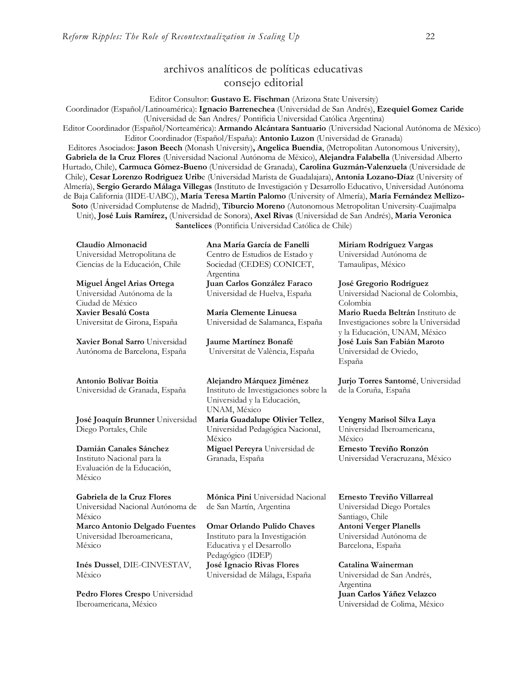# archivos analíticos de políticas educativas consejo editorial

Editor Consultor: **Gustavo E. Fischman** (Arizona State University)

Coordinador (Español/Latinoamérica): **Ignacio Barrenechea** (Universidad de San Andrés), **Ezequiel Gomez Caride** (Universidad de San Andres/ Pontificia Universidad Católica Argentina)

Editor Coordinador (Español/Norteamérica): **Armando Alcántara Santuario** (Universidad Nacional Autónoma de México) Editor Coordinador (Español/España): **Antonio Luzon** (Universidad de Granada)

Editores Asociados: **Jason Beech** (Monash University)**, Angelica Buendia**, (Metropolitan Autonomous University), **Gabriela de la Cruz Flores** (Universidad Nacional Autónoma de Mëxico), **Alejandra Falabella** (Universidad Alberto Hurtado, Chile), **Carmuca Gómez-Bueno** (Universidad de Granada), **Carolina Guzmán-Valenzuela** (Universidade de Chile), **Cesar Lorenzo Rodriguez Urib**e (Universidad Marista de Guadalajara), **Antonia Lozano-Díaz** (University of Almería), **Sergio Gerardo Málaga Villegas** (Instituto de Investigación y Desarrollo Educativo, Universidad Autónoma de Baja California (IIDE-UABC)), **María Teresa Martín Palomo** (University of Almería), **María Fernández Mellizo-Soto** (Universidad Complutense de Madrid), **Tiburcio Moreno** (Autonomous Metropolitan University-Cuajimalpa Unit), **José Luis Ramírez,** (Universidad de Sonora), **Axel Rivas** (Universidad de San Andrés), **Maria Veronica Santelices** (Pontificia Universidad Católica de Chile)

**Claudio Almonacid** Universidad Metropolitana de Ciencias de la Educación, Chile

**Miguel Ángel Arias Ortega**  Universidad Autónoma de la Ciudad de México **Xavier Besalú Costa**  Universitat de Girona, España

**[Xavier Bonal](javascript:openRTWindow() Sarro** Universidad Autónoma de Barcelona, España

#### **[Antonio Bolívar](javascript:openRTWindow() Boitia**

Universidad de Granada, España

**[José Joaquín Brunner](javascript:openRTWindow()** Universidad Diego Portales, Chile

**[Damián Canales Sánchez](javascript:openRTWindow()** Instituto Nacional para la Evaluación de la Educación, México

**Gabriela de la Cruz Flores** Universidad Nacional Autónoma de México **[Marco Antonio Delgado Fuentes](javascript:openRTWindow()** Universidad Iberoamericana, México

**[Inés Dussel](javascript:openRTWindow()**, DIE-CINVESTAV, México

**[Pedro Flores Crespo](javascript:openRTWindow()** Universidad Iberoamericana, México

**Ana María García de Fanelli**  Centro de Estudios de Estado y Sociedad (CEDES) CONICET, Argentina **Juan Carlos González Faraco**  Universidad de Huelva, España

**María Clemente Linuesa**  Universidad de Salamanca, España

**Jaume Martínez Bonafé** Universitat de València, España

**Alejandro Márquez Jiménez**  Instituto de Investigaciones sobre la Universidad y la Educación, UNAM, México

**María Guadalupe Olivier Tellez**, Universidad Pedagógica Nacional, México **[Miguel Pereyra](javascript:openRTWindow()** Universidad de Granada, España

**[Mónica Pini](javascript:openRTWindow()** Universidad Nacional de San Martín, Argentina

**Omar Orlando Pulido Chaves** Instituto para la Investigación Educativa y el Desarrollo Pedagógico (IDEP) **José Ignacio Rivas Flores** Universidad de Málaga, España

**[Miriam Rodríguez Vargas](javascript:openRTWindow()** Universidad Autónoma de Tamaulipas, México

**José Gregorio Rodríguez**  Universidad Nacional de Colombia, Colombia **[Mario Rueda Beltrán](javascript:openRTWindow()** Instituto de Investigaciones sobre la Universidad y la Educación, UNAM, México **José Luis San Fabián Maroto**  Universidad de Oviedo, España

**[Jurjo Torres Santomé](javascript:openRTWindow()**, Universidad de la Coruña, España

**[Yengny Marisol Silva Laya](javascript:openRTWindow()** Universidad Iberoamericana, México **Ernesto Treviño Ronzón** Universidad Veracruzana, México

**[Ernesto Treviño](javascript:openRTWindow() Villarreal** Universidad Diego Portales Santiago, Chile **[Antoni Verger Planells](javascript:openRTWindow()** Universidad Autónoma de Barcelona, España

**[Catalina Wainerman](javascript:openRTWindow()** Universidad de San Andrés, Argentina **Juan Carlos Yáñez Velazco** Universidad de Colima, México